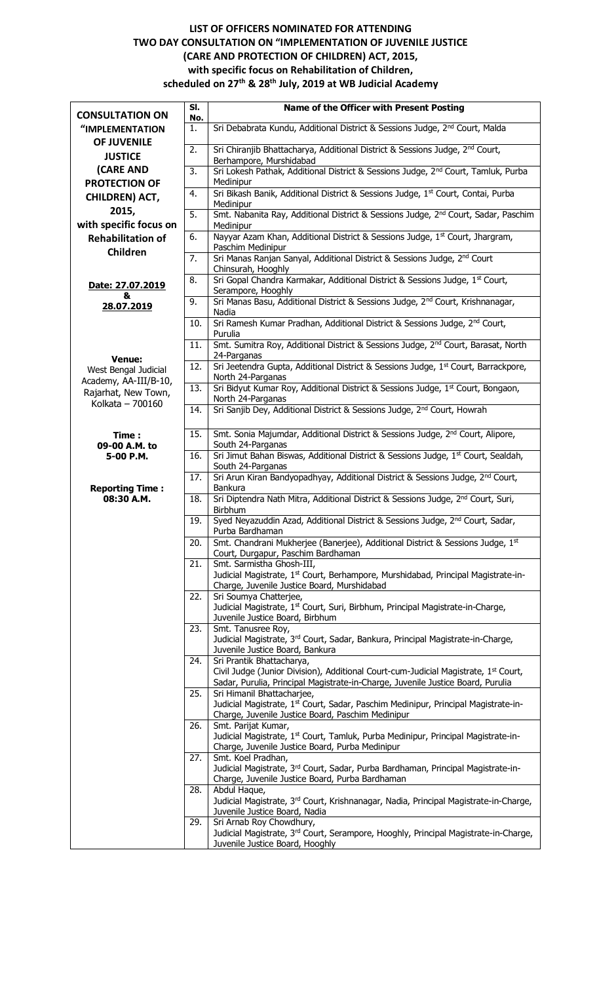## **LIST OF OFFICERS NOMINATED FOR ATTENDING TWO DAY CONSULTATION ON "IMPLEMENTATION OF JUVENILE JUSTICE (CARE AND PROTECTION OF CHILDREN) ACT, 2015, with specific focus on Rehabilitation of Children, scheduled on 27th & 28th July, 2019 at WB Judicial Academy**

| <b>CONSULTATION ON</b>                       | SI.       | Name of the Officer with Present Posting                                                                                            |
|----------------------------------------------|-----------|-------------------------------------------------------------------------------------------------------------------------------------|
| "IMPLEMENTATION                              | No.<br>1. | Sri Debabrata Kundu, Additional District & Sessions Judge, 2 <sup>nd</sup> Court, Malda                                             |
| OF JUVENILE                                  |           |                                                                                                                                     |
| <b>JUSTICE</b>                               | 2.        | Sri Chiranjib Bhattacharya, Additional District & Sessions Judge, 2 <sup>nd</sup> Court,                                            |
| (CARE AND                                    | 3.        | Berhampore, Murshidabad<br>Sri Lokesh Pathak, Additional District & Sessions Judge, 2 <sup>nd</sup> Court, Tamluk, Purba            |
| <b>PROTECTION OF</b>                         |           | Medinipur                                                                                                                           |
| <b>CHILDREN) ACT,</b>                        | 4.        | Sri Bikash Banik, Additional District & Sessions Judge, 1st Court, Contai, Purba                                                    |
| 2015,                                        |           | Medinipur                                                                                                                           |
| with specific focus on                       | 5.        | Smt. Nabanita Ray, Additional District & Sessions Judge, 2 <sup>nd</sup> Court, Sadar, Paschim<br>Medinipur                         |
| <b>Rehabilitation of</b>                     | 6.        | Nayyar Azam Khan, Additional District & Sessions Judge, 1st Court, Jhargram,                                                        |
| Children                                     |           | Paschim Medinipur                                                                                                                   |
|                                              | 7.        | Sri Manas Ranjan Sanyal, Additional District & Sessions Judge, 2nd Court<br>Chinsurah, Hooghly                                      |
| Date: 27.07.2019                             | 8.        | Sri Gopal Chandra Karmakar, Additional District & Sessions Judge, 1st Court,                                                        |
| &                                            | 9.        | Serampore, Hooghly<br>Sri Manas Basu, Additional District & Sessions Judge, 2 <sup>nd</sup> Court, Krishnanagar,                    |
| 28.07.2019                                   |           | Nadia                                                                                                                               |
|                                              | 10.       | Sri Ramesh Kumar Pradhan, Additional District & Sessions Judge, 2 <sup>nd</sup> Court,<br>Purulia                                   |
|                                              | 11.       | Smt. Sumitra Roy, Additional District & Sessions Judge, 2 <sup>nd</sup> Court, Barasat, North                                       |
| <b>Venue:</b>                                | 12.       | 24-Parganas                                                                                                                         |
| West Bengal Judicial                         |           | Sri Jeetendra Gupta, Additional District & Sessions Judge, 1st Court, Barrackpore,<br>North 24-Parganas                             |
| Academy, AA-III/B-10,<br>Rajarhat, New Town, | 13.       | Sri Bidyut Kumar Roy, Additional District & Sessions Judge, 1st Court, Bongaon,                                                     |
| Kolkata - 700160                             |           | North 24-Parganas<br>Sri Sanjib Dey, Additional District & Sessions Judge, 2 <sup>nd</sup> Court, Howrah                            |
|                                              | 14.       |                                                                                                                                     |
| Time:<br>09-00 A.M. to                       | 15.       | Smt. Sonia Majumdar, Additional District & Sessions Judge, 2 <sup>nd</sup> Court, Alipore,<br>South 24-Parganas                     |
| 5-00 P.M.                                    | 16.       | Sri Jimut Bahan Biswas, Additional District & Sessions Judge, 1st Court, Sealdah,                                                   |
|                                              |           | South 24-Parganas                                                                                                                   |
| <b>Reporting Time:</b>                       | 17.       | Sri Arun Kiran Bandyopadhyay, Additional District & Sessions Judge, 2 <sup>nd</sup> Court,<br>Bankura                               |
| 08:30 A.M.                                   | 18.       | Sri Diptendra Nath Mitra, Additional District & Sessions Judge, 2 <sup>nd</sup> Court, Suri,<br>Birbhum                             |
|                                              | 19.       | Syed Neyazuddin Azad, Additional District & Sessions Judge, 2 <sup>nd</sup> Court, Sadar,<br>Purba Bardhaman                        |
|                                              | 20.       | Smt. Chandrani Mukherjee (Banerjee), Additional District & Sessions Judge, 1st                                                      |
|                                              |           | Court, Durgapur, Paschim Bardhaman                                                                                                  |
|                                              | 21.       | Smt. Sarmistha Ghosh-III,<br>Judicial Magistrate, 1st Court, Berhampore, Murshidabad, Principal Magistrate-in-                      |
|                                              |           | Charge, Juvenile Justice Board, Murshidabad                                                                                         |
|                                              | 22.       | Sri Soumya Chatterjee,                                                                                                              |
|                                              |           | Judicial Magistrate, 1st Court, Suri, Birbhum, Principal Magistrate-in-Charge,<br>Juvenile Justice Board, Birbhum                   |
|                                              | 23.       | Smt. Tanusree Roy,                                                                                                                  |
|                                              |           | Judicial Magistrate, 3rd Court, Sadar, Bankura, Principal Magistrate-in-Charge,<br>Juvenile Justice Board, Bankura                  |
|                                              | 24.       | Sri Prantik Bhattacharya,                                                                                                           |
|                                              |           | Civil Judge (Junior Division), Additional Court-cum-Judicial Magistrate, 1 <sup>st</sup> Court,                                     |
|                                              | 25.       | Sadar, Purulia, Principal Magistrate-in-Charge, Juvenile Justice Board, Purulia<br>Sri Himanil Bhattacharjee,                       |
|                                              |           | Judicial Magistrate, 1 <sup>st</sup> Court, Sadar, Paschim Medinipur, Principal Magistrate-in-                                      |
|                                              |           | Charge, Juvenile Justice Board, Paschim Medinipur                                                                                   |
|                                              | 26.       | Smt. Parijat Kumar,<br>Judicial Magistrate, 1st Court, Tamluk, Purba Medinipur, Principal Magistrate-in-                            |
|                                              |           | Charge, Juvenile Justice Board, Purba Medinipur                                                                                     |
|                                              | 27.       | Smt. Koel Pradhan,                                                                                                                  |
|                                              |           | Judicial Magistrate, 3rd Court, Sadar, Purba Bardhaman, Principal Magistrate-in-<br>Charge, Juvenile Justice Board, Purba Bardhaman |
|                                              | 28.       | Abdul Haque,                                                                                                                        |
|                                              |           | Judicial Magistrate, 3rd Court, Krishnanagar, Nadia, Principal Magistrate-in-Charge,                                                |
|                                              | 29.       | Juvenile Justice Board, Nadia<br>Sri Arnab Roy Chowdhury,                                                                           |
|                                              |           | Judicial Magistrate, 3rd Court, Serampore, Hooghly, Principal Magistrate-in-Charge,                                                 |
|                                              |           | Juvenile Justice Board, Hooghly                                                                                                     |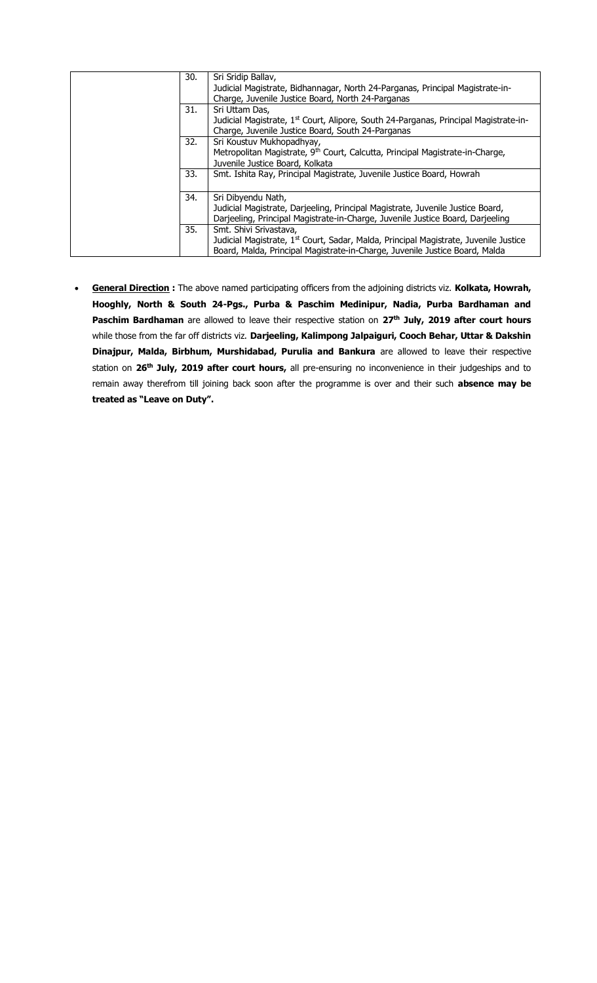| 30. | Sri Sridip Ballav,<br>Judicial Magistrate, Bidhannagar, North 24-Parganas, Principal Magistrate-in-<br>Charge, Juvenile Justice Board, North 24-Parganas |
|-----|----------------------------------------------------------------------------------------------------------------------------------------------------------|
|     |                                                                                                                                                          |
| 31. | Sri Uttam Das,                                                                                                                                           |
|     | Judicial Magistrate, 1 <sup>st</sup> Court, Alipore, South 24-Parganas, Principal Magistrate-in-                                                         |
|     | Charge, Juvenile Justice Board, South 24-Parganas                                                                                                        |
| 32. | Sri Koustuv Mukhopadhyay,                                                                                                                                |
|     | Metropolitan Magistrate, 9 <sup>th</sup> Court, Calcutta, Principal Magistrate-in-Charge,                                                                |
|     | Juvenile Justice Board, Kolkata                                                                                                                          |
| 33. | Smt. Ishita Ray, Principal Magistrate, Juvenile Justice Board, Howrah                                                                                    |
|     |                                                                                                                                                          |
| 34. | Sri Dibyendu Nath,                                                                                                                                       |
|     | Judicial Magistrate, Darjeeling, Principal Magistrate, Juvenile Justice Board,                                                                           |
|     | Darjeeling, Principal Magistrate-in-Charge, Juvenile Justice Board, Darjeeling                                                                           |
| 35. | Smt. Shivi Srivastava,                                                                                                                                   |
|     | Judicial Magistrate, 1 <sup>st</sup> Court, Sadar, Malda, Principal Magistrate, Juvenile Justice                                                         |
|     | Board, Malda, Principal Magistrate-in-Charge, Juvenile Justice Board, Malda                                                                              |

 **General Direction :** The above named participating officers from the adjoining districts viz. **Kolkata, Howrah, Hooghly, North & South 24-Pgs., Purba & Paschim Medinipur, Nadia, Purba Bardhaman and Paschim Bardhaman** are allowed to leave their respective station on **27th July, 2019 after court hours** while those from the far off districts viz. **Darjeeling, Kalimpong Jalpaiguri, Cooch Behar, Uttar & Dakshin Dinajpur, Malda, Birbhum, Murshidabad, Purulia and Bankura** are allowed to leave their respective station on **26th July, 2019 after court hours,** all pre-ensuring no inconvenience in their judgeships and to remain away therefrom till joining back soon after the programme is over and their such **absence may be treated as "Leave on Duty".**